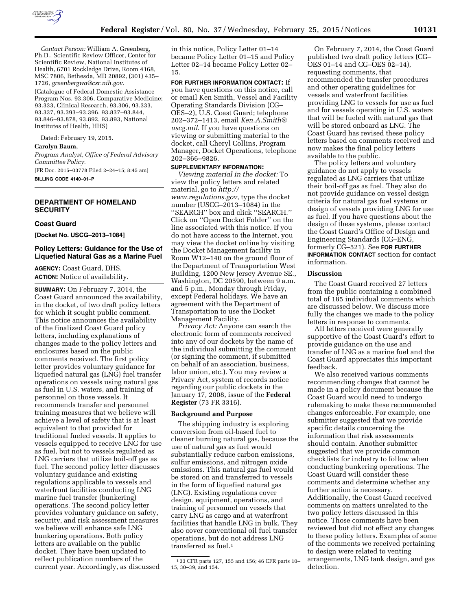

*Contact Person:* William A. Greenberg, Ph.D., Scientific Review Officer, Center for Scientific Review, National Institutes of Health, 6701 Rockledge Drive, Room 4168, MSC 7806, Bethesda, MD 20892, (301) 435– 1726, *[greenbergwa@csr.nih.gov.](mailto:greenbergwa@csr.nih.gov)* 

(Catalogue of Federal Domestic Assistance Program Nos. 93.306, Comparative Medicine; 93.333, Clinical Research, 93.306, 93.333, 93.337, 93.393–93.396, 93.837–93.844, 93.846–93.878, 93.892, 93.893, National Institutes of Health, HHS)

Dated: February 19, 2015.

#### **Carolyn Baum,**

*Program Analyst, Office of Federal Advisory Committee Policy.* 

[FR Doc. 2015–03778 Filed 2–24–15; 8:45 am] **BILLING CODE 4140–01–P** 

# **DEPARTMENT OF HOMELAND SECURITY**

#### **Coast Guard**

**[Docket No. USCG–2013–1084]** 

# **Policy Letters: Guidance for the Use of Liquefied Natural Gas as a Marine Fuel**

**AGENCY:** Coast Guard, DHS. **ACTION:** Notice of availability.

**SUMMARY:** On February 7, 2014, the Coast Guard announced the availability, in the docket, of two draft policy letters for which it sought public comment. This notice announces the availability of the finalized Coast Guard policy letters, including explanations of changes made to the policy letters and enclosures based on the public comments received. The first policy letter provides voluntary guidance for liquefied natural gas (LNG) fuel transfer operations on vessels using natural gas as fuel in U.S. waters, and training of personnel on those vessels. It recommends transfer and personnel training measures that we believe will achieve a level of safety that is at least equivalent to that provided for traditional fueled vessels. It applies to vessels equipped to receive LNG for use as fuel, but not to vessels regulated as LNG carriers that utilize boil-off gas as fuel. The second policy letter discusses voluntary guidance and existing regulations applicable to vessels and waterfront facilities conducting LNG marine fuel transfer (bunkering) operations. The second policy letter provides voluntary guidance on safety, security, and risk assessment measures we believe will enhance safe LNG bunkering operations. Both policy letters are available on the public docket. They have been updated to reflect publication numbers of the current year. Accordingly, as discussed

in this notice, Policy Letter 01–14 became Policy Letter 01–15 and Policy Letter 02–14 became Policy Letter 02– 15.

**FOR FURTHER INFORMATION CONTACT:** If you have questions on this notice, call or email Ken Smith, Vessel and Facility Operating Standards Division (CG– OES–2), U.S. Coast Guard; telephone 202–372–1413, email *[Ken.A.Smith@](mailto:Ken.A.Smith@uscg.mil) [uscg.mil](mailto:Ken.A.Smith@uscg.mil)*. If you have questions on viewing or submitting material to the docket, call Cheryl Collins, Program Manager, Docket Operations, telephone 202–366–9826.

#### **SUPPLEMENTARY INFORMATION:**

*Viewing material in the docket:* To view the policy letters and related material, go to *[http://](http://www.regulations.gov) [www.regulations.gov](http://www.regulations.gov)*, type the docket number (USCG–2013–1084) in the ''SEARCH'' box and click ''SEARCH.'' Click on ''Open Docket Folder'' on the line associated with this notice. If you do not have access to the Internet, you may view the docket online by visiting the Docket Management facility in Room W12–140 on the ground floor of the Department of Transportation West Building, 1200 New Jersey Avenue SE., Washington, DC 20590, between 9 a.m. and 5 p.m., Monday through Friday, except Federal holidays. We have an agreement with the Department of Transportation to use the Docket Management Facility.

*Privacy Act:* Anyone can search the electronic form of comments received into any of our dockets by the name of the individual submitting the comment (or signing the comment, if submitted on behalf of an association, business, labor union, etc.). You may review a Privacy Act, system of records notice regarding our public dockets in the January 17, 2008, issue of the **Federal Register** (73 FR 3316).

#### **Background and Purpose**

The shipping industry is exploring conversion from oil-based fuel to cleaner burning natural gas, because the use of natural gas as fuel would substantially reduce carbon emissions, sulfur emissions, and nitrogen oxide emissions. This natural gas fuel would be stored on and transferred to vessels in the form of liquefied natural gas (LNG). Existing regulations cover design, equipment, operations, and training of personnel on vessels that carry LNG as cargo and at waterfront facilities that handle LNG in bulk. They also cover conventional oil fuel transfer operations, but do not address LNG transferred as fuel.<sup>1</sup>

On February 7, 2014, the Coast Guard published two draft policy letters (CG– OES 01–14 and CG–OES 02–14), requesting comments, that recommended the transfer procedures and other operating guidelines for vessels and waterfront facilities providing LNG to vessels for use as fuel and for vessels operating in U.S. waters that will be fueled with natural gas that will be stored onboard as LNG. The Coast Guard has revised these policy letters based on comments received and now makes the final policy letters available to the public.

The policy letters and voluntary guidance do not apply to vessels regulated as LNG carriers that utilize their boil-off gas as fuel. They also do not provide guidance on vessel design criteria for natural gas fuel systems or design of vessels providing LNG for use as fuel. If you have questions about the design of these systems, please contact the Coast Guard's Office of Design and Engineering Standards (CG–ENG, formerly CG–521). See **FOR FURTHER INFORMATION CONTACT** section for contact information.

### **Discussion**

The Coast Guard received 27 letters from the public containing a combined total of 185 individual comments which are discussed below. We discuss more fully the changes we made to the policy letters in response to comments.

All letters received were generally supportive of the Coast Guard's effort to provide guidance on the use and transfer of LNG as a marine fuel and the Coast Guard appreciates this important feedback.

We also received various comments recommending changes that cannot be made in a policy document because the Coast Guard would need to undergo rulemaking to make these recommended changes enforceable. For example, one submitter suggested that we provide specific details concerning the information that risk assessments should contain. Another submitter suggested that we provide common checklists for industry to follow when conducting bunkering operations. The Coast Guard will consider these comments and determine whether any further action is necessary. Additionally, the Coast Guard received comments on matters unrelated to the two policy letters discussed in this notice. Those comments have been reviewed but did not effect any changes to these policy letters. Examples of some of the comments we received pertaining to design were related to venting arrangements, LNG tank design, and gas detection.

<sup>1</sup> 33 CFR parts 127, 155 and 156; 46 CFR parts 10– 15, 30–39, and 154.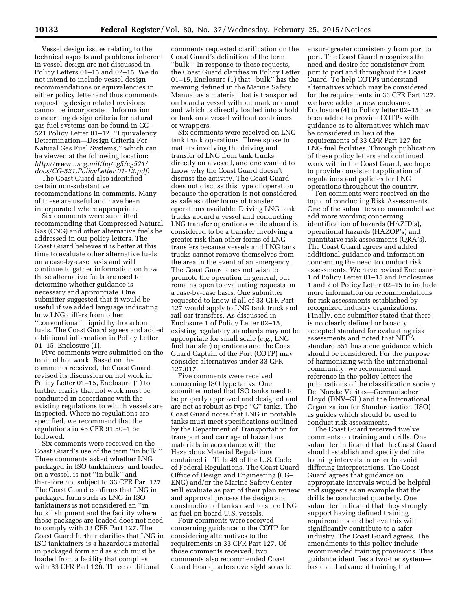Vessel design issues relating to the technical aspects and problems inherent in vessel design are not discussed in Policy Letters 01–15 and 02–15. We do not intend to include vessel design recommendations or equivalencies in either policy letter and thus comments requesting design related revisions cannot be incorporated. Information concerning design criteria for natural gas fuel systems can be found in CG– 521 Policy Letter 01–12, ''Equivalency Determination—Design Criteria For Natural Gas Fuel Systems,'' which can be viewed at the following location: *[http://www.uscg.mil/hq/cg5/cg521/](http://www.uscg.mil/hq/cg5/cg521/docs/CG-521.PolicyLetter.01-12.pdf) [docs/CG-521.PolicyLetter.01-12.pdf.](http://www.uscg.mil/hq/cg5/cg521/docs/CG-521.PolicyLetter.01-12.pdf)* 

The Coast Guard also identified certain non-substantive recommendations in comments. Many of these are useful and have been incorporated where appropriate.

Six comments were submitted recommending that Compressed Natural Gas (CNG) and other alternative fuels be addressed in our policy letters. The Coast Guard believes it is better at this time to evaluate other alternative fuels on a case-by-case basis and will continue to gather information on how these alternative fuels are used to determine whether guidance is necessary and appropriate. One submitter suggested that it would be useful if we added language indicating how LNG differs from other ''conventional'' liquid hydrocarbon fuels. The Coast Guard agrees and added additional information in Policy Letter 01–15, Enclosure (1).

Five comments were submitted on the topic of hot work. Based on the comments received, the Coast Guard revised its discussion on hot work in Policy Letter 01–15, Enclosure (1) to further clarify that hot work must be conducted in accordance with the existing regulations to which vessels are inspected. Where no regulations are specified, we recommend that the regulations in 46 CFR 91.50–1 be followed.

Six comments were received on the Coast Guard's use of the term ''in bulk.'' Three comments asked whether LNG packaged in ISO tanktainers, and loaded on a vessel, is not ''in bulk'' and therefore not subject to 33 CFR Part 127. The Coast Guard confirms that LNG in packaged form such as LNG in ISO tanktainers is not considered an ''in bulk'' shipment and the facility where those packages are loaded does not need to comply with 33 CFR Part 127. The Coast Guard further clarifies that LNG in ISO tanktainers is a hazardous material in packaged form and as such must be loaded from a facility that complies with 33 CFR Part 126. Three additional

comments requested clarification on the Coast Guard's definition of the term ''bulk.'' In response to these requests, the Coast Guard clarifies in Policy Letter 01–15, Enclosure (1) that ''bulk'' has the meaning defined in the Marine Safety Manual as a material that is transported on board a vessel without mark or count and which is directly loaded into a hold or tank on a vessel without containers or wrappers.

Six comments were received on LNG tank truck operations. Three spoke to matters involving the driving and transfer of LNG from tank trucks directly on a vessel, and one wanted to know why the Coast Guard doesn't discuss the activity. The Coast Guard does not discuss this type of operation because the operation is not considered as safe as other forms of transfer operations available. Driving LNG tank trucks aboard a vessel and conducting LNG transfer operations while aboard is considered to be a transfer involving a greater risk than other forms of LNG transfers because vessels and LNG tank trucks cannot remove themselves from the area in the event of an emergency. The Coast Guard does not wish to promote the operation in general, but remains open to evaluating requests on a case-by-case basis. One submitter requested to know if all of 33 CFR Part 127 would apply to LNG tank truck and rail car transfers. As discussed in Enclosure 1 of Policy Letter 02–15, existing regulatory standards may not be appropriate for small scale (*e.g.*, LNG fuel transfer) operations and the Coast Guard Captain of the Port (COTP) may consider alternatives under 33 CFR 127.017.

Five comments were received concerning ISO type tanks. One submitter noted that ISO tanks need to be properly approved and designed and are not as robust as type ''C'' tanks. The Coast Guard notes that LNG in portable tanks must meet specifications outlined by the Department of Transportation for transport and carriage of hazardous materials in accordance with the Hazardous Material Regulations contained in Title 49 of the U.S. Code of Federal Regulations. The Coast Guard Office of Design and Engineering (CG– ENG) and/or the Marine Safety Center will evaluate as part of their plan review and approval process the design and construction of tanks used to store LNG as fuel on board U.S. vessels.

Four comments were received concerning guidance to the COTP for considering alternatives to the requirements in 33 CFR Part 127. Of those comments received, two comments also recommended Coast Guard Headquarters oversight so as to

ensure greater consistency from port to port. The Coast Guard recognizes the need and desire for consistency from port to port and throughout the Coast Guard. To help COTPs understand alternatives which may be considered for the requirements in 33 CFR Part 127, we have added a new enclosure. Enclosure (4) to Policy letter 02–15 has been added to provide COTPs with guidance as to alternatives which may be considered in lieu of the requirements of 33 CFR Part 127 for LNG fuel facilities. Through publication of these policy letters and continued work within the Coast Guard, we hope to provide consistent application of regulations and policies for LNG operations throughout the country.

Ten comments were received on the topic of conducting Risk Assessments. One of the submitters recommended we add more wording concerning identification of hazards (HAZID's), operational hazards (HAZOP's) and quantitaive risk assessments (QRA's). The Coast Guard agrees and added additional guidance and information concerning the need to conduct risk assessments. We have revised Enclosure 1 of Policy Letter 01–15 and Enclosures 1 and 2 of Policy Letter 02–15 to include more information on recommendations for risk assessments established by recognized industry organizations. Finally, one submitter stated that there is no clearly defined or broadly accepted standard for evaluating risk assessments and noted that NFPA standard 551 has some guidance which should be considered. For the purpose of harmonizing with the international community, we recommend and reference in the policy letters the publications of the classification society Det Norske Veritas—Germanischer Lloyd (DNV–GL) and the International Organization for Standardization (ISO) as guides which should be used to conduct risk assessments.

The Coast Guard received twelve comments on training and drills. One submitter indicated that the Coast Guard should establish and specify definite training intervals in order to avoid differing interpretations. The Coast Guard agrees that guidance on appropriate intervals would be helpful and suggests as an example that the drills be conducted quarterly. One submitter indicated that they strongly support having defined training requirements and believe this will significantly contribute to a safer industry. The Coast Guard agrees. The amendments to this policy include recommended training provisions. This guidance identifies a two-tier system basic and advanced training that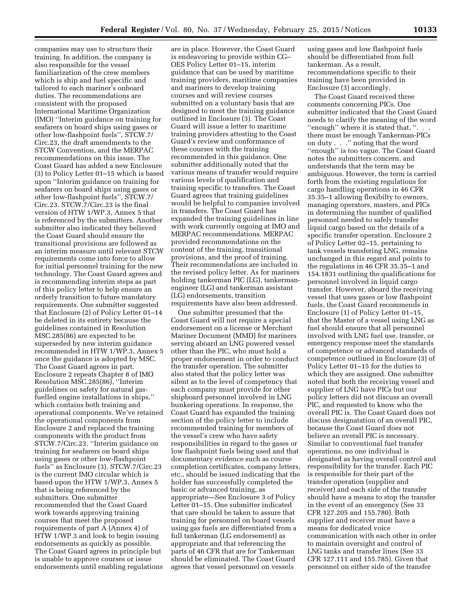companies may use to structure their training. In addition, the company is also responsible for the vessel familiarization of the crew members which is ship and fuel specific and tailored to each mariner's onboard duties. The recommendations are consistent with the proposed International Maritime Organization (IMO) ''Interim guidance on training for seafarers on board ships using gases or other low-flashpoint fuels'', STCW.7/ Circ.23, the draft amendments to the STCW Convention, and the MERPAC recommendations on this issue. The Coast Guard has added a new Enclosure (3) to Policy Letter 01–15 which is based upon ''Interim guidance on training for seafarers on board ships using gases or other low-flashpoint fuels'', STCW.7/ Circ.23. STCW.7/Circ.23 is the final version of HTW 1/WP.3, Annex 5 that is referenced by the submitters. Another submitter also indicated they believed the Coast Guard should ensure the transitional provisions are followed as an interim measure until relevant STCW requirements come into force to allow for initial personnel training for the new technology. The Coast Guard agrees and is recommending interim steps as part of this policy letter to help ensure an orderly transition to future mandatory requirements. One submitter suggested that Enclosure (2) of Policy Letter 01–14 be deleted in its entirety because the guidelines contained in Resolution MSC.285(86) are expected to be superseded by new interim guidance recommended in HTW 1/WP.3, Annex 5 once the guidance is adopted by MSC. The Coast Guard agrees in part. Enclosure 2 repeats Chapter 8 of IMO Resolution MSC.285(86), ''Interim guidelines on safety for natural gasfuelled engine installations in ships,'' which contains both training and operational components. We've retained the operational components from Enclosure 2 and replaced the training components with the product from STCW.7/Circ.23, ''Interim guidance on training for seafarers on board ships using gases or other low-flashpoint fuels'' as Enclosure (3). STCW.7/Circ.23 is the current IMO circular which is based upon the HTW 1/WP.3, Annex 5 that is being referenced by the submitters. One submitter recommended that the Coast Guard work towards approving training courses that meet the proposed requirements of part A (Annex 4) of HTW 1/WP.3 and look to begin issuing endorsements as quickly as possible. The Coast Guard agrees in principle but is unable to approve courses or issue endorsements until enabling regulations

are in place. However, the Coast Guard is endeavoring to provide within CG– OES Policy Letter 01–15, interim guidance that can be used by maritime training providers, maritime companies and mariners to develop training courses and will review courses submitted on a voluntary basis that are designed to meet the training guidance outlined in Enclosure (3). The Coast Guard will issue a letter to maritime training providers attesting to the Coast Guard's review and conformance of these courses with the training recommended in this guidance. One submitter additionally noted that the various means of transfer would require various levels of qualification and training specific to transfers. The Coast Guard agrees that training guidelines would be helpful to companies involved in transfers. The Coast Guard has expanded the training guidelines in line with work currently ongoing at IMO and MERPAC recommendations. MERPAC provided recommendations on the content of the training, transitional provisions, and the proof of training. Their recommendations are included in the revised policy letter. As for mariners holding tankerman PIC (LG), tankermanengineer (LG) and tankerman assistant (LG) endorsements, transition requirements have also been addressed.

One submitter presumed that the Coast Guard will not require a special endorsement on a license or Merchant Mariner Document (MMD) for mariners serving aboard an LNG powered vessel other than the PIC, who must hold a proper endorsement in order to conduct the transfer operation. The submitter also stated that the policy letter was silent as to the level of competency that each company must provide for other shipboard personnel involved in LNG bunkering operations. In response, the Coast Guard has expanded the training section of the policy letter to include recommended training for members of the vessel's crew who have safety responsibilities in regard to the gases or low flashpoint fuels being used and that documentary evidence such as course completion certificates, company letters, etc., should be issued indicating that the holder has successfully completed the basic or advanced training, as appropriate—See Enclosure 3 of Policy Letter 01–15. One submitter indicated that care should be taken to assure that training for personnel on board vessels using gas fuels are differentiated from a full tankerman (LG endorsement) as appropriate and that referencing the parts of 46 CFR that are for Tankerman should be eliminated. The Coast Guard agrees that vessel personnel on vessels

using gases and low flashpoint fuels should be differentiated from full tankerman. As a result, recommendations specific to their training have been provided in Enclosure (3) accordingly.

The Coast Guard received three comments concerning PICs. One submitter indicated that the Coast Guard needs to clarify the meaning of the word ''enough'' where it is stated that, ''. . . there must be enough Tankerman-PICs on duty . . .'' noting that the word ''enough'' is too vague. The Coast Guard notes the submitters concern, and understands that the term may be ambiguous. However, the term is carried forth from the existing regulations for cargo handling operations in 46 CFR 35.35–1 allowing flexibilty to owners, managing operators, masters, and PICs in determining the number of qualified personnel needed to safely transfer liquid cargo based on the details of a specific transfer operation. Enclosure 2 of Policy Letter 02–15, pertaining to tank vessels transfering LNG, remains unchanged in this regard and points to the regulations in 46 CFR 35.35–1 and 154.1831 outlining the qualifications for personnel involved in liquid cargo transfer. However, aboard the receiving vessel that uses gases or low flashpoint fuels, the Coast Guard recommends in Enclosure (1) of Policy Letter 01–15, that the Master of a vessel using LNG as fuel should ensure that all personnel involved with LNG fuel use, transfer, or emergency response meet the standards of competence or advanced standards of competence outlined in Enclosure (3) of Policy Letter 01–15 for the duties to which they are assigned. One submitter noted that both the receiving vessel and supplier of LNG have PICs but our policy letters did not discuss an overall PIC, and requested to know who the overall PIC is. The Coast Guard does not discuss designatation of an overall PIC, because the Coast Guard does not believe an overall PIC is necessary. Similar to conventional fuel transfer operations, no one individual is designated as having overall control and responsibility for the transfer. Each PIC is responsible for their part of the transfer operation (supplier and receiver) and each side of the transfer should have a means to stop the transfer in the event of an emergency (See 33 CFR 127.205 and 155.780). Both supplier and receiver must have a means for dedicated voice communication with each other in order to maintain oversight and control of LNG tanks and transfer lines (See 33 CFR 127.111 and 155.785). Given that personnel on either side of the transfer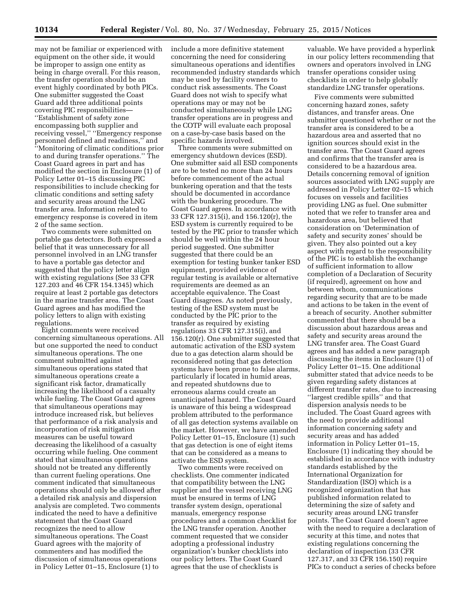may not be familiar or experienced with equipment on the other side, it would be improper to assign one entity as being in charge overall. For this reason, the transfer operation should be an event highly coordinated by both PICs. One submitter suggested the Coast Guard add three additional points covering PIC responsibilities— ''Establishment of safety zone encompassing both supplier and receiving vessel,'' ''Emergency response personnel defined and readiness,'' and ''Monitoring of climatic conditions prior to and during transfer operations.'' The Coast Guard agrees in part and has modified the section in Enclosure (1) of Policy Letter 01–15 discussing PIC responsibilities to include checking for climatic conditions and setting safety and security areas around the LNG transfer area. Information related to emergency response is covered in item 2 of the same section.

Two comments were submitted on portable gas detectors. Both expressed a belief that it was unnecessary for all personnel involved in an LNG transfer to have a portable gas detector and suggested that the policy letter align with existing regulations (See 33 CFR 127.203 and 46 CFR 154.1345) which require at least 2 portable gas detectors in the marine transfer area. The Coast Guard agrees and has modified the policy letters to align with existing regulations.

Eight comments were received concerning simultaneous operations. All but one supported the need to conduct simultaneous operations. The one comment submitted against simultaneous operations stated that simultaneous operations create a significant risk factor, dramatically increasing the likelihood of a casualty while fueling. The Coast Guard agrees that simultaneous operations may introduce increased risk, but believes that performance of a risk analysis and incorporation of risk mitigation measures can be useful toward decreasing the likelihood of a casualty occurring while fueling. One comment stated that simultaneous operations should not be treated any differently than current fueling operations. One comment indicated that simultaneous operations should only be allowed after a detailed risk analysis and dispersion analysis are completed. Two comments indicated the need to have a definitive statement that the Coast Guard recognizes the need to allow simultaneous operations. The Coast Guard agrees with the majority of commenters and has modified the discussion of simultaneous operations in Policy Letter 01–15, Enclosure (1) to

include a more definitive statement concerning the need for considering simultaneous operations and identifies recommended industry standards which may be used by facility owners to conduct risk assessments. The Coast Guard does not wish to specify what operations may or may not be conducted simultaneously while LNG transfer operations are in progress and the COTP will evaluate each proposal on a case-by-case basis based on the specific hazards involved.

Three comments were submitted on emergency shutdown devices (ESD). One submitter said all ESD components are to be tested no more than 24 hours before commencement of the actual bunkering operation and that the tests should be documented in accordance with the bunkering procedure. The Coast Guard agrees. In accordance with 33 CFR 127.315(i), and 156.120(r), the ESD system is currently required to be tested by the PIC prior to transfer which should be well within the 24 hour period suggested. One submitter suggested that there could be an exemption for testing bunker tanker ESD equipment, provided evidence of regular testing is available or alternative requirements are deemed as an acceptable equivalence. The Coast Guard disagrees. As noted previously, testing of the ESD system must be conducted by the PIC prior to the transfer as required by existing regulations 33 CFR 127.315(i), and 156.120(r). One submitter suggested that automatic activation of the ESD system due to a gas detection alarm should be reconsidered noting that gas detection systems have been prone to false alarms, particularly if located in humid areas, and repeated shutdowns due to erroneous alarms could create an unanticipated hazard. The Coast Guard is unaware of this being a widespread problem attributed to the performance of all gas detection systems available on the market. However, we have amended Policy Letter 01–15, Enclosure (1) such that gas detection is one of eight items that can be considered as a means to activate the ESD system.

Two comments were received on checklists. One commenter indicated that compatibility between the LNG supplier and the vessel receiving LNG must be ensured in terms of LNG transfer system design, operational manuals, emergency response procedures and a common checklist for the LNG transfer operation. Another comment requested that we consider adopting a professional industry organization's bunker checklists into our policy letters. The Coast Guard agrees that the use of checklists is

valuable. We have provided a hyperlink in our policy letters recommending that owners and operators involved in LNG transfer operations consider using checklists in order to help globally standardize LNG transfer operations.

Five comments were submitted concerning hazard zones, safety distances, and transfer areas. One submitter questioned whether or not the transfer area is considered to be a hazardous area and asserted that no ignition sources should exist in the transfer area. The Coast Guard agrees and confirms that the transfer area is considered to be a hazardous area. Details concerning removal of ignition sources associated with LNG supply are addressed in Policy Letter 02–15 which focuses on vessels and facilities providing LNG as fuel. One submitter noted that we refer to transfer area and hazardous area, but believed that consideration on 'Determination of safety and security zones' should be given. They also pointed out a key aspect with regard to the responsibility of the PIC is to establish the exchange of sufficient information to allow completion of a Declaration of Security (if required), agreement on how and between whom, communications regarding security that are to be made and actions to be taken in the event of a breach of security. Another submitter commented that there should be a discussion about hazardous areas and safety and security areas around the LNG transfer area. The Coast Guard agrees and has added a new paragraph discussing the items in Enclosure (1) of Policy Letter 01–15. One additional submitter stated that advice needs to be given regarding safety distances at different transfer rates, due to increasing ''largest credible spills'' and that dispersion analysis needs to be included. The Coast Guard agrees with the need to provide additional information concerning safety and security areas and has added information in Policy Letter 01–15, Enclosure (1) indicating they should be established in accordance with industry standards established by the International Organization for Standardization (ISO) which is a recognized organization that has published information related to determining the size of safety and security areas around LNG transfer points. The Coast Guard doesn't agree with the need to require a declaration of security at this time, and notes that existing regulations concerning the declaration of inspection (33 CFR 127.317, and 33 CFR 156.150) require PICs to conduct a series of checks before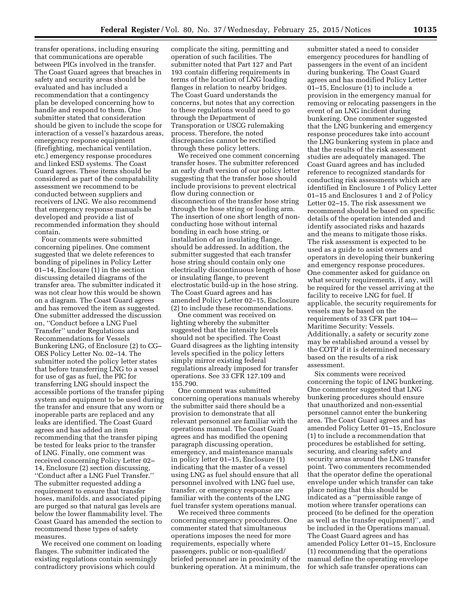transfer operations, including ensuring that communications are operable between PICs involved in the transfer. The Coast Guard agrees that breaches in safety and security areas should be evaluated and has included a recommendation that a contingency plan be developed concerning how to handle and respond to them. One submitter stated that consideration should be given to include the scope for interaction of a vessel's hazardous areas, emergency response equipment (firefighting, mechanical ventilation, etc.) emergency response procedures and linked ESD systems. The Coast Guard agrees. These items should be considered as part of the compatability assessment we recommend to be conducted between suppliers and receivers of LNG. We also recommend that emergency response manuals be developed and provide a list of recommended information they should contain.

Four comments were submitted concerning pipelines. One comment suggested that we delete references to bonding of pipelines in Policy Letter 01–14, Enclosure (1) in the section discussing detailed diagrams of the transfer area. The submitter indicated it was not clear how this would be shown on a diagram. The Coast Guard agrees and has removed the item as suggested. One submitter addressed the discussion on, ''Conduct before a LNG Fuel Transfer'' under Regulations and Recommendations for Vessels Bunkering LNG, of Enclosure (2) to CG– OES Policy Letter No. 02–14. The submitter noted the policy letter states that before transferring LNG to a vessel for use of gas as fuel, the PIC for transferring LNG should inspect the accessible portions of the transfer piping system and equipment to be used during the transfer and ensure that any worn or inoperable parts are replaced and any leaks are identified. The Coast Guard agrees and has added an item recommending that the transfer piping be tested for leaks prior to the transfer of LNG. Finally, one comment was received concerning Policy Letter 02– 14, Enclosure (2) section discussing, ''Conduct after a LNG Fuel Transfer.'' The submitter requested adding a requirement to ensure that transfer hoses, manifolds, and associated piping are purged so that natural gas levels are below the lower flammability level. The Coast Guard has amended the section to recommend these types of safety measures.

We received one comment on loading flanges. The submitter indicated the existing regulations contain seemingly contradictory provisions which could

complicate the siting, permitting and operation of such facilities. The submitter noted that Part 127 and Part 193 contain differing requirements in terms of the location of LNG loading flanges in relation to nearby bridges. The Coast Guard understands the concerns, but notes that any correction to these regulations would need to go through the Department of Transporation or USCG rulemaking process. Therefore, the noted discrepancies cannot be rectified through these policy letters.

We received one comment concerning transfer hoses. The submitter referenced an early draft version of our policy letter suggesting that the transfer hose should include provisions to prevent electrical flow during connection or disconnection of the transfer hose string through the hose string or loading arm. The insertion of one short length of nonconducting hose without internal bonding in each hose string, or installation of an insulating flange, should be addressed. In addition, the submitter suggested that each transfer hose string should contain only one electrically discontinuous length of hose or insulating flange, to prevent electrostatic build-up in the hose string. The Coast Guard agrees and has amended Policy Letter 02–15, Enclosure (2) to include these recommendations.

One comment was received on lighting whereby the submitter suggested that the intensity levels should not be specified. The Coast Guard disagrees as the lighting intensity levels specified in the policy letters simply mirror existing federal regulations already imposed for transfer operations. See 33 CFR 127.109 and 155.790.

One comment was submitted concerning operations manuals whereby the submitter said there should be a provision to demonstrate that all relevant personnel are familiar with the operations manual. The Coast Guard agrees and has modified the opening paragraph discussing operation, emergency, and maintenance manuals in policy letter 01–15, Enclosure (1) indicating that the master of a vessel using LNG as fuel should ensure that all personnel involved with LNG fuel use, transfer, or emergency response are familiar with the contents of the LNG fuel transfer system operations manual.

We received three comments concerning emergency procedures. One commenter stated that simultaneous operations imposes the need for more requirements, especially where passengers, public or non-qualified/ briefed personnel are in proximity of the bunkering operation. At a minimum, the submitter stated a need to consider emergency procedures for handling of passengers in the event of an incident during bunkering. The Coast Guard agrees and has modified Policy Letter 01–15, Enclosure (1) to include a provision in the emergency manual for removing or relocating passengers in the event of an LNG incident during bunkering. One commenter suggested that the LNG bunkering and emergency response procedures take into account the LNG bunkering system in place and that the results of the risk assessment studies are adequately managed. The Coast Guard agrees and has included reference to recognized standards for conducting risk assessments which are identified in Enclosure 1 of Policy Letter 01–15 and Enclosures 1 and 2 of Policy Letter 02–15. The risk assessment we recommend should be based on specific details of the operation intended and identify associated risks and hazards and the means to mitigate those risks. The risk assessment is expected to be used as a guide to assist owners and operators in developing their bunkering and emergency response procedures. One commenter asked for guidance on what security requirements, if any, will be required for the vessel arriving at the facility to receive LNG for fuel. If applicable, the security requirements for vessels may be based on the requirements of 33 CFR part 104— Maritime Security: Vessels. Additionally, a safety or security zone may be established around a vessel by the COTP if it is determined necessary based on the results of a risk assessment.

Six comments were received concerning the topic of LNG bunkering. One commenter suggested that LNG bunkering procedures should ensure that unauthorized and non-essential personnel cannot enter the bunkering area. The Coast Guard agrees and has amended Policy Letter 01–15, Enclosure (1) to include a recommendation that procedures be established for setting, securing, and clearing safety and security areas around the LNG transfer point. Two commenters recommended that the operator define the operational envelope under which transfer can take place noting that this should be indicated as a ''permissible range of motion where transfer operations can proceed (to be defined for the operation as well as the transfer equipment)'', and be included in the Operations manual. The Coast Guard agrees and has amended Policy Letter 01–15, Enclosure (1) recommending that the operations manual define the operating envelope for which safe transfer operations can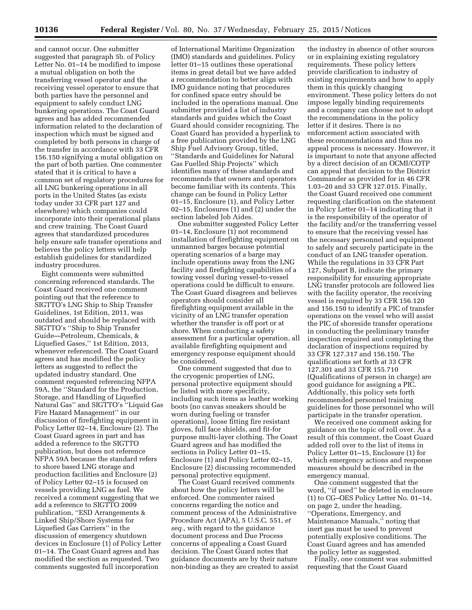and cannot occur. One submitter suggested that paragraph 5b. of Policy Letter No. 01–14 be modified to impose a mutual obligation on both the transferring vessel operator and the receiving vessel operator to ensure that both parties have the personnel and equipment to safely conduct LNG bunkering operations. The Coast Guard agrees and has added recommended information related to the declaration of inspection which must be signed and completed by both persons in charge of the transfer in accordance with 33 CFR 156.150 signifying a mutal obligation on the part of both parties. One commenter stated that it is critical to have a common set of regulatory procedures for all LNG bunkering operations in all ports in the United States (as exists today under 33 CFR part 127 and elsewhere) which companies could incorporate into their operational plans and crew training. The Coast Guard agrees that standardized procedures help ensure safe transfer operations and believes the policy letters will help establish guidelines for standardized industry procedures.

Eight comments were submitted concerning referenced standards. The Coast Guard received one comment pointing out that the reference to SIGTTO's LNG Ship to Ship Transfer Guidelines, 1st Edition, 2011, was outdated and should be replaced with SIGTTO's ''Ship to Ship Transfer Guide—Petroleum, Chemicals, & Liquefied Gases,'' 1st Edition, 2013, whenever referenced. The Coast Guard agrees and has modified the policy letters as suggested to reflect the updated industry standard. One comment requested referencing NFPA 59A, the ''Standard for the Production, Storage, and Handling of Liquefied Natural Gas'' and SIGTTO's ''Liquid Gas Fire Hazard Management'' in our discussion of firefighting equipment in Policy Letter 02–14, Enclosure (2). The Coast Guard agrees in part and has added a reference to the SIGTTO publication, but does not reference NFPA 59A because the standard refers to shore based LNG storage and production facilities and Enclosure (2) of Policy Letter 02–15 is focused on vessels providing LNG as fuel. We received a comment suggesting that we add a reference to SIGTTO 2009 publication, ''ESD Arrangements & Linked Ship/Shore Systems for Liquefied Gas Carriers'' in the discussion of emergency shutdown devices in Enclosure (1) of Policy Letter 01–14. The Coast Guard agrees and has modified the section as requested. Two comments suggested full incorporation

of International Maritime Organization (IMO) standards and guidelines. Policy letter 01–15 outlines these operational items in great detail but we have added a recommendation to better align with IMO guidance noting that procedures for confined space entry should be included in the operations manual. One submitter provided a list of industry standards and guides which the Coast Guard should consider recognizing. The Coast Guard has provided a hyperlink to a free publication provided by the LNG Ship Fuel Advisory Group, titled, ''Standards and Guidelines for Natural Gas Fuelled Ship Projects'' which identifies many of these standards and recommends that owners and operators become familiar with its contents. This change can be found in Policy Letter 01–15, Enclosure (1), and Policy Letter 02–15, Enclosures (1) and (2) under the section labeled Job Aides.

One submitter suggested Policy Letter 01–14, Enclosure (1) not recommend installation of firefighting equipment on unmanned barges because potential operating scenarios of a barge may include operations away from the LNG facility and firefighting capabilities of a towing vessel during vessel-to-vessel operations could be difficult to ensure. The Coast Guard disagrees and believes operators should consider all firefighting equipment available in the vicinity of an LNG transfer operation whether the transfer is off port or at shore. When conducting a safety assessment for a particular operation, all available firefighting equipment and emergency response equipment should be considered.

One comment suggested that due to the cryogenic properties of LNG, personal protective equipment should be listed with more specificity, including such items as leather working boots (no canvas sneakers should be worn during fueling or transfer operations), loose fitting fire resistant gloves, full face shields, and fit-for purpose multi-layer clothing. The Coast Guard agrees and has modified the sections in Policy Letter 01–15, Enclosure (1) and Policy Letter 02–15, Enclosure (2) discussing recommended personal protective equipment.

The Coast Guard received comments about how the policy letters will be enforced. One commenter raised concerns regarding the notice and comment process of the Administrative Procedure Act (APA), 5 U.S.C. 551, *et seq.,* with regard to the guidance document process and Due Process concerns of appealing a Coast Guard decision. The Coast Guard notes that guidance documents are by their nature non-binding as they are created to assist

the industry in absence of other sources or in explaining existing regulatory requirements. These policy letters provide clarification to industry of existing requirements and how to apply them in this quickly changing environment. These policy letters do not impose legally binding requirements and a company can choose not to adopt the recommendations in the policy letter if it desires. There is no enforcement action associated with these recommendations and thus no appeal process is necessary. However, it is important to note that anyone affected by a direct decision of an OCMI/COTP can appeal that decision to the District Commander as provided for in 46 CFR 1.03–20 and 33 CFR 127.015. Finally, the Coast Guard received one comment requesting clarification on the statement in Policy Letter 01–14 indicating that it is the responsibility of the operator of the facility and/or the transferring vessel to ensure that the receiving vessel has the necessary personnel and equipment to safely and securely participate in the conduct of an LNG transfer operation. While the regulations in 33 CFR Part 127, Subpart B, indicate the primary responsibility for ensuring appropriate LNG transfer protocols are followed lies with the facility operator, the receiving vessel is required by 33 CFR 156.120 and 156.150 to identify a PIC of transfer operations on the vessel who will assist the PIC of shoreside transfer operations in conducting the preliminary transfer inspection required and completing the declaration of inspections required by 33 CFR 127.317 and 156.150. The qualifications set forth at 33 CFR 127.301 and 33 CFR 155.710 (Qualifications of person in charge) are good guidance for assigning a PIC. Addtionally, this policy sets forth recommended personnel training guidelines for those personnel who will participate in the transfer operation.

We received one comment asking for guidance on the topic of roll over. As a result of this comment, the Coast Guard added roll over to the list of items in Policy Letter 01–15, Enclosure (1) for which emergency actions and response measures should be described in the emergency manual.

One comment suggested that the word, ''if used'' be deleted in enclosure (1) to CG–OES Policy Letter No. 01–14, on page 2, under the heading, ''Operations, Emergency, and Maintenance Manuals,'' noting that inert gas must be used to prevent potentially explosive conditions. The Coast Guard agrees and has amended the policy letter as suggested.

Finally, one comment was submitted requesting that the Coast Guard